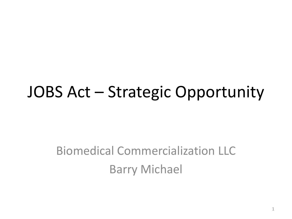## JOBS Act – Strategic Opportunity

#### Biomedical Commercialization LLC Barry Michael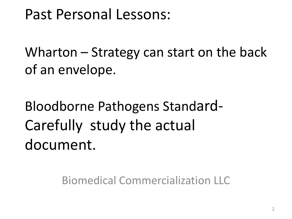#### Past Personal Lessons:

Wharton – Strategy can start on the back of an envelope.

Bloodborne Pathogens Standard-Carefully study the actual document.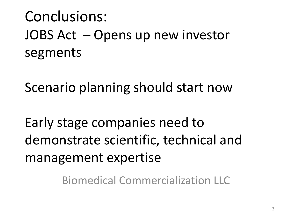## Conclusions: JOBS Act – Opens up new investor segments

Scenario planning should start now

Early stage companies need to demonstrate scientific, technical and management expertise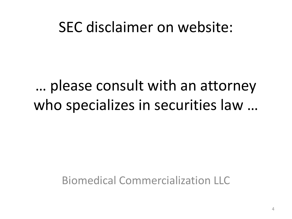#### SEC disclaimer on website:

## … please consult with an attorney who specializes in securities law …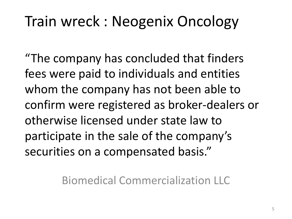### Train wreck : Neogenix Oncology

"The company has concluded that finders fees were paid to individuals and entities whom the company has not been able to confirm were registered as broker-dealers or otherwise licensed under state law to participate in the sale of the company's securities on a compensated basis."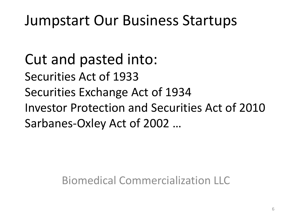#### Jumpstart Our Business Startups

Cut and pasted into: Securities Act of 1933 Securities Exchange Act of 1934 Investor Protection and Securities Act of 2010 Sarbanes-Oxley Act of 2002 …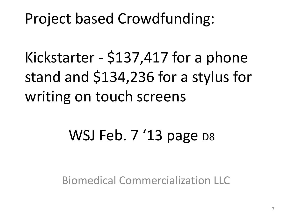#### Project based Crowdfunding:

Kickstarter - \$137,417 for a phone stand and \$134,236 for a stylus for writing on touch screens

# WSJ Feb. 7 '13 page D8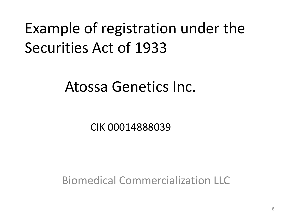# Example of registration under the Securities Act of 1933

#### Atossa Genetics Inc.

CIK 00014888039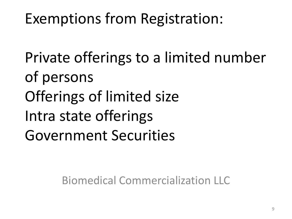## Exemptions from Registration:

Private offerings to a limited number of persons Offerings of limited size Intra state offerings Government Securities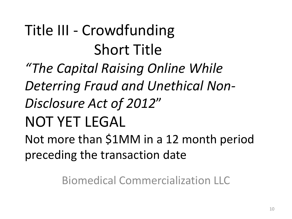Title III - Crowdfunding Short Title *"The Capital Raising Online While Deterring Fraud and Unethical Non-Disclosure Act of 2012*" NOT YET LEGAL Not more than \$1MM in a 12 month period preceding the transaction date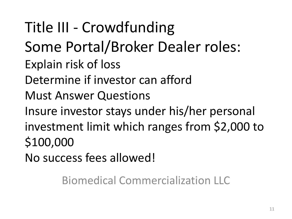Title III - Crowdfunding Some Portal/Broker Dealer roles: Explain risk of loss Determine if investor can afford Must Answer Questions Insure investor stays under his/her personal investment limit which ranges from \$2,000 to \$100,000 No success fees allowed!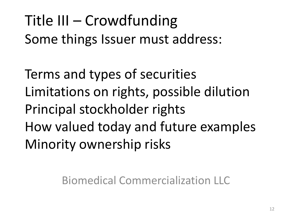## Title III – Crowdfunding Some things Issuer must address:

Terms and types of securities Limitations on rights, possible dilution Principal stockholder rights How valued today and future examples Minority ownership risks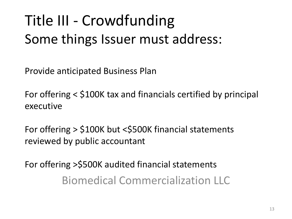# Title III - Crowdfunding Some things Issuer must address:

Provide anticipated Business Plan

For offering < \$100K tax and financials certified by principal executive

For offering > \$100K but <\$500K financial statements reviewed by public accountant

For offering >\$500K audited financial statements Biomedical Commercialization LLC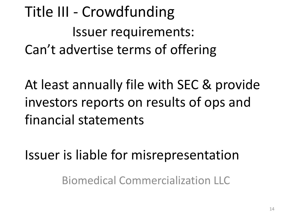# Title III - Crowdfunding Issuer requirements: Can't advertise terms of offering

At least annually file with SEC & provide investors reports on results of ops and financial statements

Issuer is liable for misrepresentation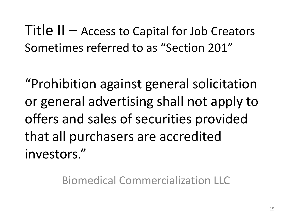Title II – Access to Capital for Job Creators Sometimes referred to as "Section 201"

"Prohibition against general solicitation or general advertising shall not apply to offers and sales of securities provided that all purchasers are accredited investors."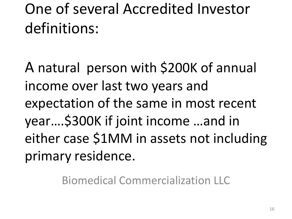# One of several Accredited Investor definitions:

A natural person with \$200K of annual income over last two years and expectation of the same in most recent year….\$300K if joint income …and in either case \$1MM in assets not including primary residence.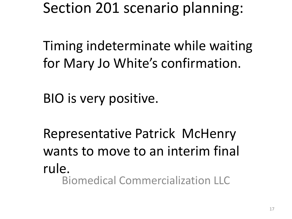Section 201 scenario planning:

Timing indeterminate while waiting for Mary Jo White's confirmation.

BIO is very positive.

Representative Patrick McHenry wants to move to an interim final rule. Biomedical Commercialization LLC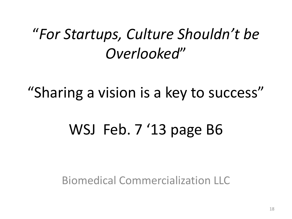#### "*For Startups, Culture Shouldn't be Overlooked*"

#### "Sharing a vision is a key to success"

#### WSJ Feb. 7 '13 page B6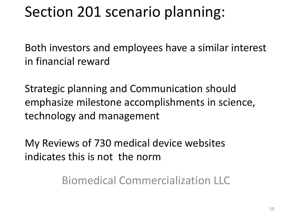#### Section 201 scenario planning:

Both investors and employees have a similar interest in financial reward

Strategic planning and Communication should emphasize milestone accomplishments in science, technology and management

My Reviews of 730 medical device websites indicates this is not the norm